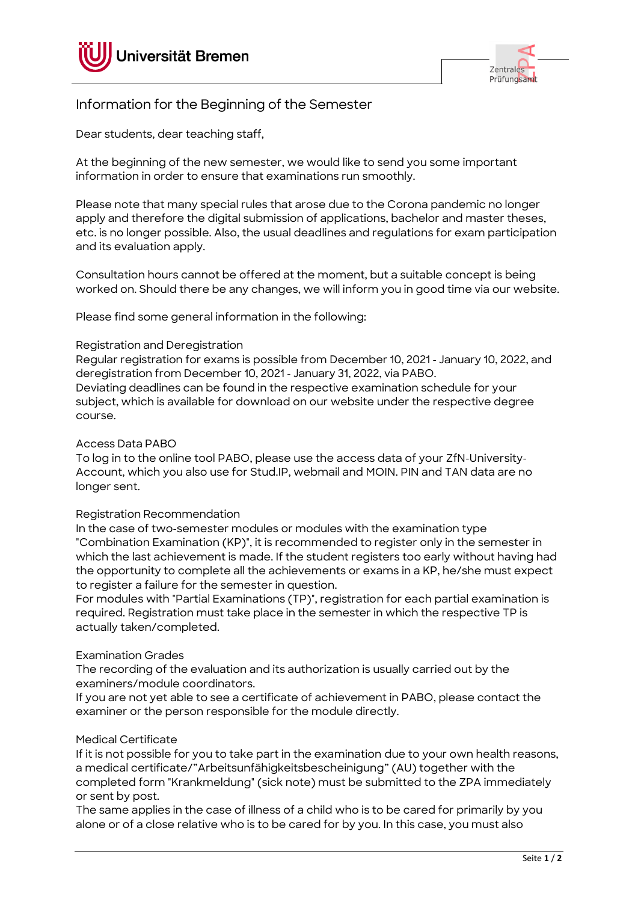



# Information for the Beginning of the Semester

Dear students, dear teaching staff,

At the beginning of the new semester, we would like to send you some important information in order to ensure that examinations run smoothly.

Please note that many special rules that arose due to the Corona pandemic no longer apply and therefore the digital submission of applications, bachelor and master theses, etc. is no longer possible. Also, the usual deadlines and regulations for exam participation and its evaluation apply.

Consultation hours cannot be offered at the moment, but a suitable concept is being worked on. Should there be any changes, we will inform you in good time via our website.

Please find some general information in the following:

## Registration and Deregistration

Regular registration for exams is possible from December 10, 2021 - January 10, 2022, and deregistration from December 10, 2021 - January 31, 2022, via PABO. Deviating deadlines can be found in the respective examination schedule for your subject, which is available for download on our website under the respective degree

Access Data PABO

course.

To log in to the online tool PABO, please use the access data of your ZfN-University-Account, which you also use for Stud.IP, webmail and MOIN. PIN and TAN data are no longer sent.

#### Registration Recommendation

In the case of two-semester modules or modules with the examination type "Combination Examination (KP)", it is recommended to register only in the semester in which the last achievement is made. If the student registers too early without having had the opportunity to complete all the achievements or exams in a KP, he/she must expect to register a failure for the semester in question.

For modules with "Partial Examinations (TP)", registration for each partial examination is required. Registration must take place in the semester in which the respective TP is actually taken/completed.

#### Examination Grades

The recording of the evaluation and its authorization is usually carried out by the examiners/module coordinators.

If you are not yet able to see a certificate of achievement in PABO, please contact the examiner or the person responsible for the module directly.

#### Medical Certificate

If it is not possible for you to take part in the examination due to your own health reasons, a medical certificate/"Arbeitsunfähigkeitsbescheinigung" (AU) together with the completed form "Krankmeldung" (sick note) must be submitted to the ZPA immediately or sent by post.

The same applies in the case of illness of a child who is to be cared for primarily by you alone or of a close relative who is to be cared for by you. In this case, you must also